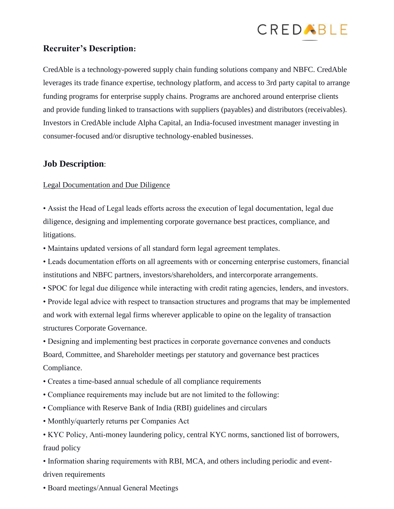

## **Recruiter's Description:**

CredAble is a technology-powered supply chain funding solutions company and NBFC. CredAble leverages its trade finance expertise, technology platform, and access to 3rd party capital to arrange funding programs for enterprise supply chains. Programs are anchored around enterprise clients and provide funding linked to transactions with suppliers (payables) and distributors (receivables). Investors in CredAble include Alpha Capital, an India-focused investment manager investing in consumer-focused and/or disruptive technology-enabled businesses.

## **Job Description**:

## Legal Documentation and Due Diligence

• Assist the Head of Legal leads efforts across the execution of legal documentation, legal due diligence, designing and implementing corporate governance best practices, compliance, and litigations.

• Maintains updated versions of all standard form legal agreement templates.

• Leads documentation efforts on all agreements with or concerning enterprise customers, financial institutions and NBFC partners, investors/shareholders, and intercorporate arrangements.

• SPOC for legal due diligence while interacting with credit rating agencies, lenders, and investors.

• Provide legal advice with respect to transaction structures and programs that may be implemented and work with external legal firms wherever applicable to opine on the legality of transaction structures Corporate Governance.

• Designing and implementing best practices in corporate governance convenes and conducts Board, Committee, and Shareholder meetings per statutory and governance best practices Compliance.

- Creates a time-based annual schedule of all compliance requirements
- Compliance requirements may include but are not limited to the following:
- Compliance with Reserve Bank of India (RBI) guidelines and circulars
- Monthly/quarterly returns per Companies Act

• KYC Policy, Anti-money laundering policy, central KYC norms, sanctioned list of borrowers, fraud policy

• Information sharing requirements with RBI, MCA, and others including periodic and eventdriven requirements

• Board meetings/Annual General Meetings